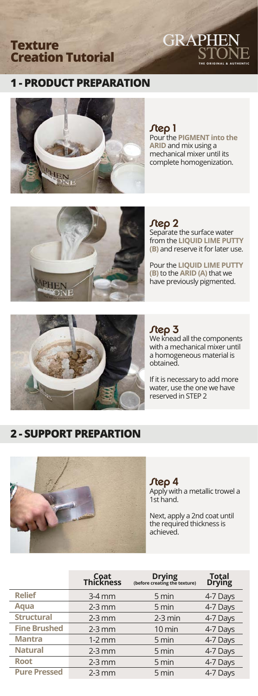## **Texture Creation Tutorial**



# **1 - PRODUCT PREPARATION**



Step 1

Pour the **PIGMENT into the ARID** and mix using a mechanical mixer until its complete homogenization.



Step 2 Separate the surface water from the **LIQUID LIME PUTTY (B)** and reserve it for later use.

Pour the **LIQUID LIME PUTTY (B)** to the **ARID (A)** that we have previously pigmented.



## $J$ tep  $3$

We knead all the components with a mechanical mixer until a homogeneous material is obtained.

If it is necessary to add more water, use the one we have reserved in STEP 2

# **2 - SUPPORT PREPARTION**



Step 4 Apply with a metallic trowel a 1st hand.

Next, apply a 2nd coat until the required thickness is achieved.

|                     | Coat<br>Thickness | <b>Drying</b><br>(before creating the texture) | Total<br>Drying |
|---------------------|-------------------|------------------------------------------------|-----------------|
| <b>Relief</b>       | $3-4$ mm          | 5 min                                          | 4-7 Days        |
| Agua                | $2-3$ mm          | 5 min                                          | 4-7 Days        |
| <b>Structural</b>   | $2-3$ mm          | $2-3$ min                                      | 4-7 Days        |
| <b>Fine Brushed</b> | $2-3$ mm          | $10 \text{ min}$                               | 4-7 Days        |
| <b>Mantra</b>       | $1-2$ mm          | 5 min                                          | 4-7 Days        |
| <b>Natural</b>      | $2-3$ mm          | 5 min                                          | 4-7 Days        |
| <b>Root</b>         | $2-3$ mm          | 5 min                                          | 4-7 Days        |
| <b>Pure Pressed</b> | $2-3$ mm          | 5 min                                          | 4-7 Days        |